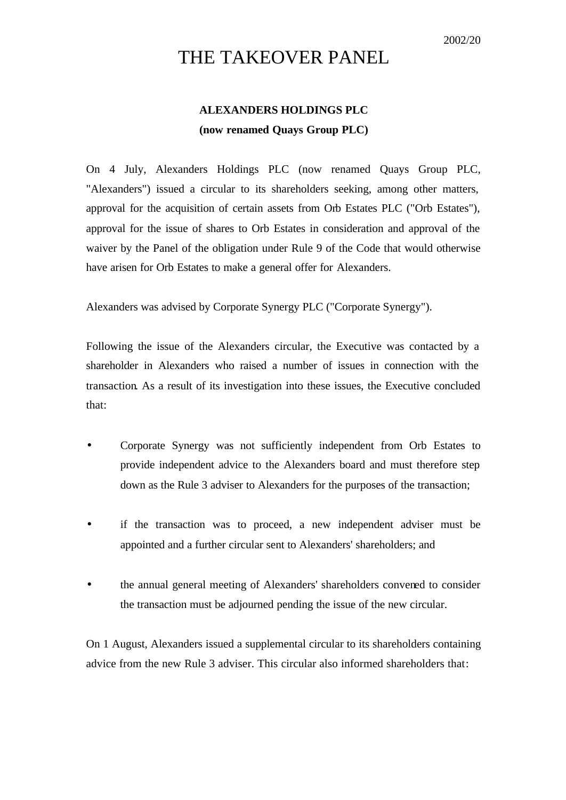## THE TAKEOVER PANEL

## **ALEXANDERS HOLDINGS PLC (now renamed Quays Group PLC)**

On 4 July, Alexanders Holdings PLC (now renamed Quays Group PLC, "Alexanders") issued a circular to its shareholders seeking, among other matters, approval for the acquisition of certain assets from Orb Estates PLC ("Orb Estates"), approval for the issue of shares to Orb Estates in consideration and approval of the waiver by the Panel of the obligation under Rule 9 of the Code that would otherwise have arisen for Orb Estates to make a general offer for Alexanders.

Alexanders was advised by Corporate Synergy PLC ("Corporate Synergy").

Following the issue of the Alexanders circular, the Executive was contacted by a shareholder in Alexanders who raised a number of issues in connection with the transaction. As a result of its investigation into these issues, the Executive concluded that:

- Corporate Synergy was not sufficiently independent from Orb Estates to provide independent advice to the Alexanders board and must therefore step down as the Rule 3 adviser to Alexanders for the purposes of the transaction;
- if the transaction was to proceed, a new independent adviser must be appointed and a further circular sent to Alexanders' shareholders; and
- the annual general meeting of Alexanders' shareholders convened to consider the transaction must be adjourned pending the issue of the new circular.

On 1 August, Alexanders issued a supplemental circular to its shareholders containing advice from the new Rule 3 adviser. This circular also informed shareholders that: